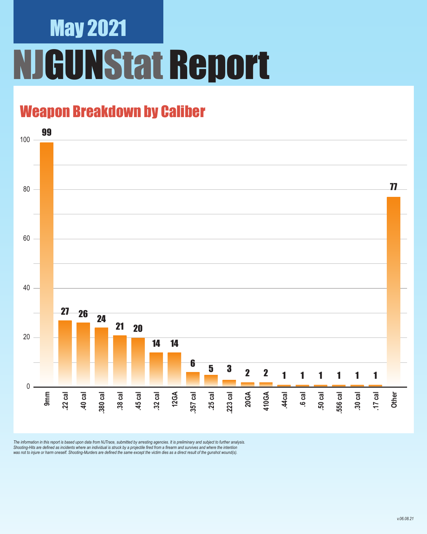## May 2021 **JGUNStat Report**

### Weapon Breakdown by Caliber



The information in this report is based upon data from NJTrace, submitted by arresting agencies. It is preliminary and subject to further analysis.<br>Shooting-Hits are defined as incidents where an individual is struck by a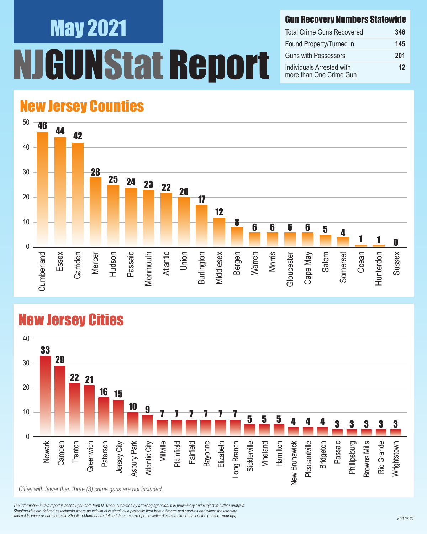# May 2021 UNStat Report

#### Gun Recovery Numbers Statewide

| <b>Total Crime Guns Recovered</b>                    | 346 |
|------------------------------------------------------|-----|
| Found Property/Turned in                             | 145 |
| <b>Guns with Possessors</b>                          | 201 |
| Individuals Arrested with<br>more than One Crime Gun | 12  |

#### New Jersey Counties



#### New Jersey Cities



*The information in this report is based upon data from NJTrace, submitted by arresting agencies. It is preliminary and subject to further analysis. Shooting-Hits are defined as incidents where an individual is struck by a projectile fired from a firearm and survives and where the intention*  was not to injure or harm oneself. Shooting-Murders are defined the same except the victim dies as a direct result of the gunshot wound(s).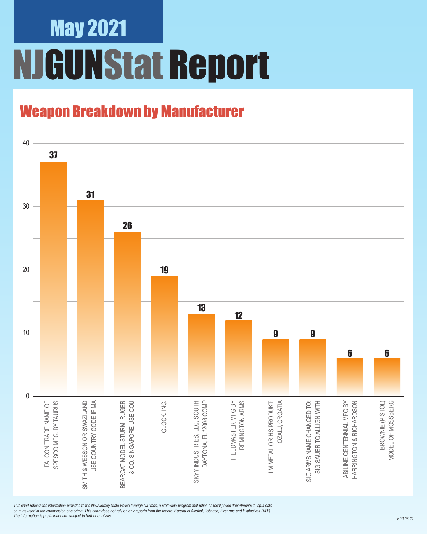### May 2021 NJGUNStat Report

### Weapon Breakdown by Manufacturer



*This chart reflects the information provided to the New Jersey State Police through NJTrace, a statewide program that relies on local police departments to input data on guns used in the commission of a crime. This chart does not rely on any reports from the federal Bureau of Alcohol, Tobacco, Firearms and Explosives (ATF). The information is preliminary and subject to further analysis.*